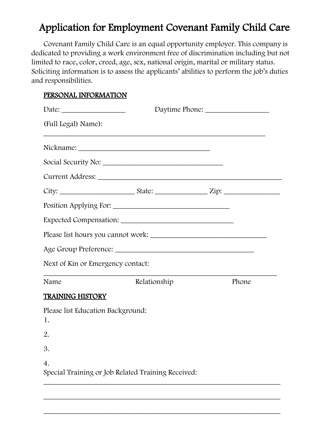# Application for Employment Covenant Family Child Care

Covenant Family Child Care is an equal opportunity employer. This company is dedicated to providing a work environment free of discrimination including but not limited to race, color, creed, age, sex, national origin, marital or military status. Soliciting information is to assess the applicants' abilities to perform the job's duties and responsibilities.

### PERSONAL INFORMATION

|                                                                        | Daytime Phone: |  |       |
|------------------------------------------------------------------------|----------------|--|-------|
| (Full Legal) Name):                                                    |                |  |       |
|                                                                        |                |  |       |
|                                                                        |                |  |       |
|                                                                        |                |  |       |
|                                                                        |                |  |       |
|                                                                        |                |  |       |
|                                                                        |                |  |       |
|                                                                        |                |  |       |
|                                                                        |                |  |       |
| Next of Kin or Emergency contact:                                      |                |  |       |
| Name                                                                   | Relationship   |  | Phone |
| <b>TRAINING HISTORY</b>                                                |                |  |       |
| Please list Education Background:<br>1.                                |                |  |       |
| 2.                                                                     |                |  |       |
| 3.                                                                     |                |  |       |
| $\overline{4}$ .<br>Special Training or Job Related Training Received: |                |  |       |

\_\_\_\_\_\_\_\_\_\_\_\_\_\_\_\_\_\_\_\_\_\_\_\_\_\_\_\_\_\_\_\_\_\_\_\_\_\_\_\_\_\_\_\_\_\_\_\_\_\_\_\_\_\_\_\_\_\_\_\_\_\_\_

\_\_\_\_\_\_\_\_\_\_\_\_\_\_\_\_\_\_\_\_\_\_\_\_\_\_\_\_\_\_\_\_\_\_\_\_\_\_\_\_\_\_\_\_\_\_\_\_\_\_\_\_\_\_\_\_\_\_\_\_\_\_\_

\_\_\_\_\_\_\_\_\_\_\_\_\_\_\_\_\_\_\_\_\_\_\_\_\_\_\_\_\_\_\_\_\_\_\_\_\_\_\_\_\_\_\_\_\_\_\_\_\_\_\_\_\_\_\_\_\_\_\_\_\_\_\_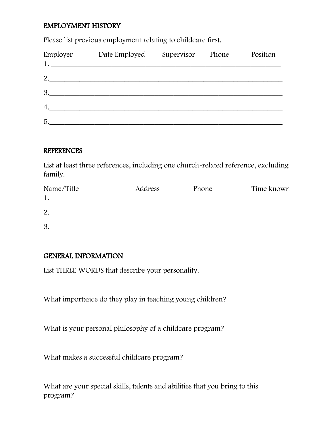# EMPLOYMENT HISTORY

Please list previous employment relating to childcare first.

| Employer | Date Employed<br>1. | Supervisor | Phone | Position |
|----------|---------------------|------------|-------|----------|
| 2.       |                     |            |       |          |
| 3.       |                     |            |       |          |
| 4.       |                     |            |       |          |
| 5.       |                     |            |       |          |

#### REFERENCES

List at least three references, including one church-related reference, excluding family.

| Name/Title | Address | Phone | Time known |
|------------|---------|-------|------------|
|            |         |       |            |
| 2.         |         |       |            |
| 3.         |         |       |            |

## GENERAL INFORMATION

List THREE WORDS that describe your personality.

What importance do they play in teaching young children?

What is your personal philosophy of a childcare program?

What makes a successful childcare program?

What are your special skills, talents and abilities that you bring to this program?